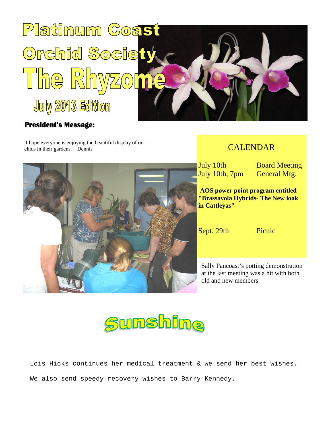

## **President's Message:**

I hope everyone is enjoying the beautiful display of orchids in their gardens. Dennis

## CALENDAR

July 10th, 7pm General Mtg.

July 10th Board Meeting

**AOS power point program entitled "Brassavola Hybrids- The New look in Cattleyas"**

Sept. 29th Picnic

Sally Pancoast's potting demonstration at the last meeting was a hit with both old and new members.



Lois Hicks continues her medical treatment & we send her best wishes. We also send speedy recovery wishes to Barry Kennedy.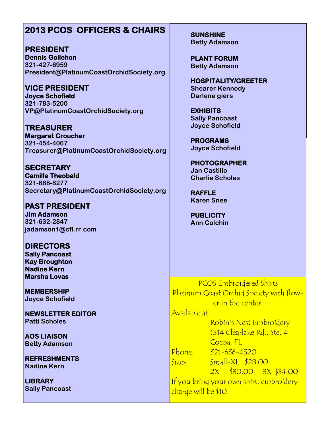## **2013 PCOS OFFICERS & CHAIRS**

**PRESIDENT Dennis Gollehon 321-427-6959 President@PlatinumCoastOrchidSociety.org**

**VICE PRESIDENT Joyce Schofield 321-783-5200 VP@PlatinumCoastOrchidSociety.org**

**TREASURER Margaret Croucher 321-454-4067 Treasurer@PlatinumCoastOrchidSociety.org**

**SECRETARY Camille Theobald 321-868-8277 Secretary@PlatinumCoastOrchidSociety.org**

**PAST PRESIDENT Jim Adamson 321-632-2847 jadamson1@cfl.rr.com**

**DIRECTORS Sally Pancoast Kay Broughton Nadine Kern Marsha Lovas**

**MEMBERSHIP Joyce Schofield**

**NEWSLETTER EDITOR Patti Scholes**

**AOS LIAISON Betty Adamson**

**REFRESHMENTS Nadine Kern**

**LIBRARY Sally Pancoast** **SUNSHINE Betty Adamson**

**PLANT FORUM Betty Adamson**

**HOSPITALITY/GREETER Shearer Kennedy Darlene giers**

**EXHIBITS Sally Pancoast Joyce Schofield**

**PROGRAMS Joyce Schofield**

**PHOTOGRAPHER Jan Castillo Charlie Scholes**

**RAFFLE Karen Snee**

**PUBLICITY Ann Colchin**

PCOS Embroidered Shirts Platinum Coast Orchid Society with flower in the center.

Available at :

Robin's Nest Embroidery 1314 Clearlake Rd., Ste. 4 Cocoa, FL Phone: 321-636-4320 Sizes Small-XL \$28.00 2X \$30.00 3X \$34.00 If you bring your own shirt, embroidery charge will be \$10.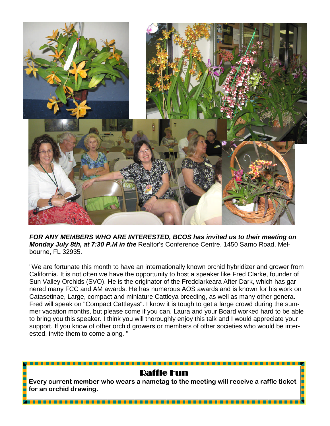

*FOR ANY MEMBERS WHO ARE INTERESTED, BCOS has invited us to their meeting on Monday July 8th, at 7:30 P.M in the* Realtor's Conference Centre, 1450 Sarno Road, Melbourne, FL 32935.

"We are fortunate this month to have an internationally known orchid hybridizer and grower from California. It is not often we have the opportunity to host a speaker like Fred Clarke, founder of Sun Valley Orchids (SVO). He is the originator of the Fredclarkeara After Dark, which has garnered many FCC and AM awards. He has numerous AOS awards and is known for his work on Catasetinae, Large, compact and miniature Cattleya breeding, as well as many other genera. Fred will speak on "Compact Cattleyas". I know it is tough to get a large crowd during the summer vacation months, but please come if you can. Laura and your Board worked hard to be able to bring you this speaker. I think you will thoroughly enjoy this talk and I would appreciate your support. If you know of other orchid growers or members of other societies who would be interested, invite them to come along. "